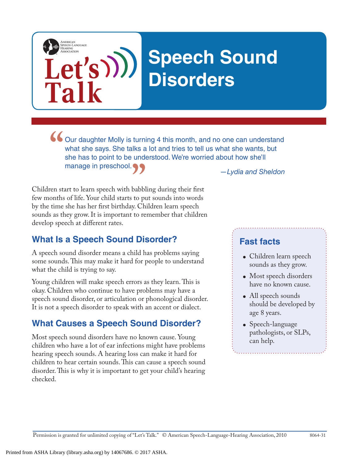# **Speech Sound Disorders**

what she says. She talks a lot and tries to tell us what she wants, but she has to point to be understood. We're worried about how she'll manage in preschool.

*—Lydia and Sheldon*

Children start to learn speech with babbling during their first few months of life. Your child starts to put sounds into words by the time she has her first birthday. Children learn speech sounds as they grow. It is important to remember that children develop speech at different rates. **"**<br>babbl<br>to pu

## **What Is a Speech Sound Disorder?**

Let's)))

**Talk**

AMERICAN<br>SPEECH-LANGUAGE<br>HEARING

A speech sound disorder means a child has problems saying some sounds.This may make it hard for people to understand what the child is trying to say.

Young children will make speech errors as they learn. This is okay. Children who continue to have problems may have a speech sound disorder, or articulation or phonological disorder. It is not a speech disorder to speak with an accent or dialect.

## **What Causes a Speech Sound Disorder?**

Most speech sound disorders have no known cause. Young children who have a lot of ear infections might have problems hearing speech sounds. A hearing loss can make it hard for children to hear certain sounds. This can cause a speech sound disorder. This is why it is important to get your child's hearing checked.

## **Fast facts**

- Children learn speech sounds as they grow.
- Most speech disorders have no known cause.
- All speech sounds should be developed by age 8 years.
- Speech-language pathologists, or SLPs, can help.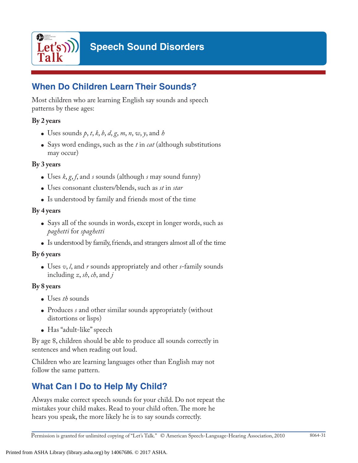

## **When Do Children Learn Their Sounds?**

Most children who are learning English say sounds and speech patterns by these ages:

#### **By 2 years**

- Uses sounds  $p, t, k, b, d, g, m, n, w, y$ , and  $h$
- Says word endings, such as the *t* in *cat* (although substitutions may occur)

#### **By 3 years**

- Uses *k*, *g*, *f*, and *s* sounds (although *s* may sound funny)
- Uses consonant clusters/blends, such as *st* in *star*
- Is understood by family and friends most of the time

#### **By 4 years**

- Says all of the sounds in words, except in longer words, such as *paghetti* for *spaghetti*
- Is understood by family, friends, and strangers almost all of the time

#### **By 6 years**

• Uses *v*, *l*, and *r* sounds appropriately and other *s*-family sounds including *z*, *sh*, *ch*, and *j*

#### **By 8 years**

- Uses *th* sounds
- Produces *s* and other similar sounds appropriately (without distortions or lisps)
- Has "adult-like" speech

By age 8, children should be able to produce all sounds correctly in sentences and when reading out loud.

Children who are learning languages other than English may not follow the same pattern.

# **What Can I Do to Help My Child?**

Always make correct speech sounds for your child. Do not repeat the mistakes your child makes. Read to your child often. The more he hears you speak, the more likely he is to say sounds correctly.